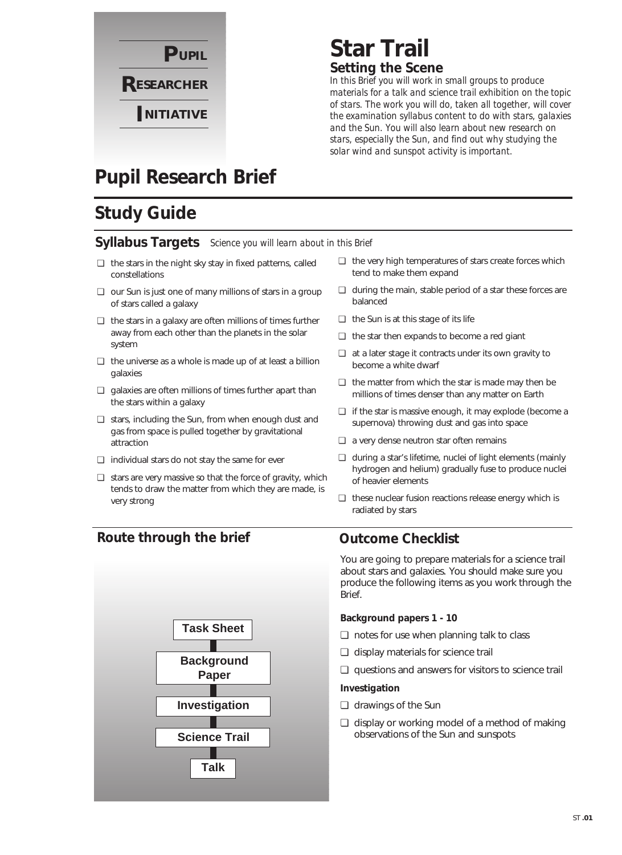

### **Star Trail Setting the Scene**

*In this Brief you will work in small groups to produce materials for a talk and science trail exhibition on the topic of stars. The work you will do, taken all together, will cover the examination syllabus content to do with stars, galaxies and the Sun. You will also learn about new research on stars, especially the Sun, and find out why studying the solar wind and sunspot activity is important.*

## **Pupil Research Brief**

## **Study Guide**

### **Syllabus Targets** *Science you will learn about in this Brief*

- ❏ the stars in the night sky stay in fixed patterns, called constellations
- ❏ our Sun is just one of many millions of stars in a group of stars called a galaxy
- ❏ the stars in a galaxy are often millions of times further away from each other than the planets in the solar system
- ❏ the universe as a whole is made up of at least a billion galaxies
- ❏ galaxies are often millions of times further apart than the stars within a galaxy
- ❏ stars, including the Sun, from when enough dust and gas from space is pulled together by gravitational attraction
- ❏ individual stars do not stay the same for ever
- ❏ stars are very massive so that the force of gravity, which tends to draw the matter from which they are made, is very strong
- ❏ the very high temperatures of stars create forces which tend to make them expand
- ❏ during the main, stable period of a star these forces are balanced
- ❏ the Sun is at this stage of its life
- ❏ the star then expands to become a red giant
- ❏ at a later stage it contracts under its own gravity to become a white dwarf
- ❏ the matter from which the star is made may then be millions of times denser than any matter on Earth
- ❏ if the star is massive enough, it may explode (become a supernova) throwing dust and gas into space
- ❏ a very dense neutron star often remains
- ❏ during a star's lifetime, nuclei of light elements (mainly hydrogen and helium) gradually fuse to produce nuclei of heavier elements
- ❏ these nuclear fusion reactions release energy which is radiated by stars

### **Route through the brief**



### **Outcome Checklist**

You are going to prepare materials for a science trail about stars and galaxies. You should make sure you produce the following items as you work through the Brief.

#### **Background papers 1 - 10**

- ❏ notes for use when planning talk to class
- ❏ display materials for science trail
- ❏ questions and answers for visitors to science trail

#### **Investigation**

- ❏ drawings of the Sun
- ❏ display or working model of a method of making observations of the Sun and sunspots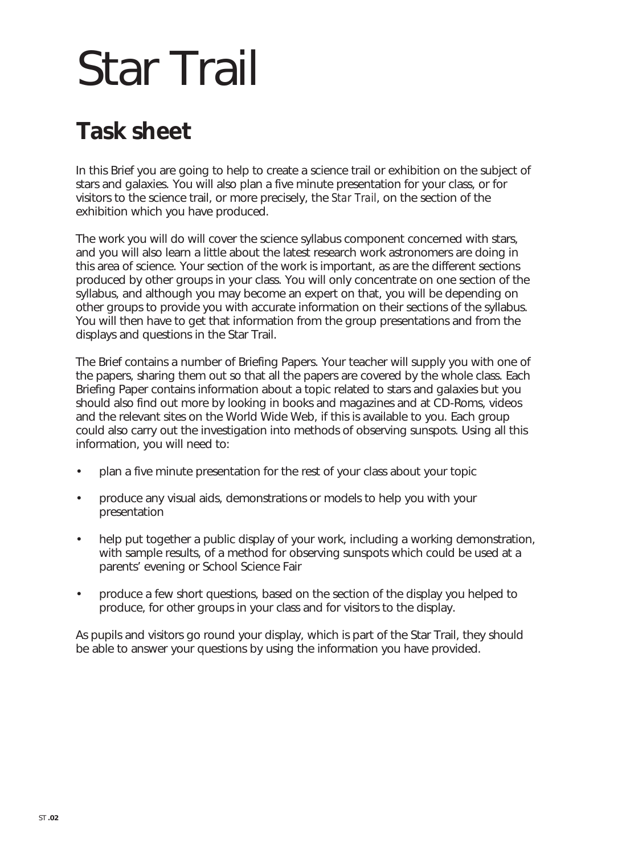# Star Trail

# **Task sheet**

In this Brief you are going to help to create a science trail or exhibition on the subject of stars and galaxies. You will also plan a five minute presentation for your class, or for visitors to the science trail, or more precisely, the *Star Trail*, on the section of the exhibition which you have produced.

The work you will do will cover the science syllabus component concerned with stars, and you will also learn a little about the latest research work astronomers are doing in this area of science. Your section of the work is important, as are the different sections produced by other groups in your class. You will only concentrate on one section of the syllabus, and although you may become an expert on that, you will be depending on other groups to provide you with accurate information on their sections of the syllabus. You will then have to get that information from the group presentations and from the displays and questions in the Star Trail.

The Brief contains a number of Briefing Papers. Your teacher will supply you with one of the papers, sharing them out so that all the papers are covered by the whole class. Each Briefing Paper contains information about a topic related to stars and galaxies but you should also find out more by looking in books and magazines and at CD-Roms, videos and the relevant sites on the World Wide Web, if this is available to you. Each group could also carry out the investigation into methods of observing sunspots. Using all this information, you will need to:

- plan a five minute presentation for the rest of your class about your topic
- produce any visual aids, demonstrations or models to help you with your presentation
- help put together a public display of your work, including a working demonstration, with sample results, of a method for observing sunspots which could be used at a parents' evening or School Science Fair
- produce a few short questions, based on the section of the display you helped to produce, for other groups in your class and for visitors to the display.

As pupils and visitors go round your display, which is part of the Star Trail, they should be able to answer your questions by using the information you have provided.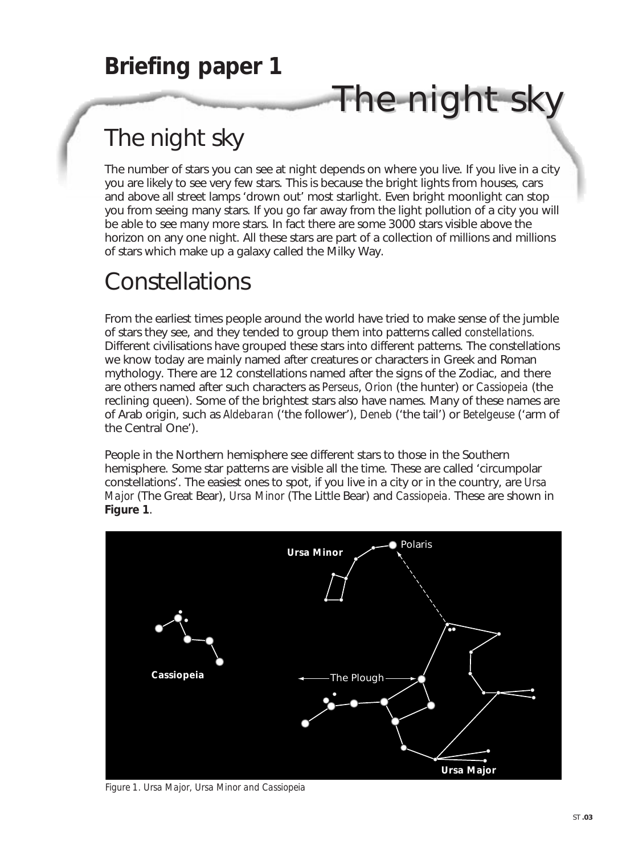# The night sky

The number of stars you can see at night depends on where you live. If you live in a city you are likely to see very few stars. This is because the bright lights from houses, cars and above all street lamps 'drown out' most starlight. Even bright moonlight can stop you from seeing many stars. If you go far away from the light pollution of a city you will be able to see many more stars. In fact there are some 3000 stars visible above the horizon on any one night. All these stars are part of a collection of millions and millions of stars which make up a galaxy called the Milky Way.

The night sky

# Constellations

From the earliest times people around the world have tried to make sense of the jumble of stars they see, and they tended to group them into patterns called *constellations.* Different civilisations have grouped these stars into different patterns. The constellations we know today are mainly named after creatures or characters in Greek and Roman mythology. There are 12 constellations named after the signs of the Zodiac, and there are others named after such characters as *Perseus*, *Orion* (the hunter) or *Cassiopeia* (the reclining queen). Some of the brightest stars also have names. Many of these names are of Arab origin, such as *Aldebaran* ('the follower'), *Deneb* ('the tail') or *Betelgeuse* ('arm of the Central One').

People in the Northern hemisphere see different stars to those in the Southern hemisphere. Some star patterns are visible all the time. These are called 'circumpolar constellations'. The easiest ones to spot, if you live in a city or in the country, are *Ursa Major* (The Great Bear), *Ursa Minor* (The Little Bear) and *Cassiopeia.* These are shown in **Figure 1**.



*Figure 1. Ursa Major, Ursa Minor and Cassiopeia*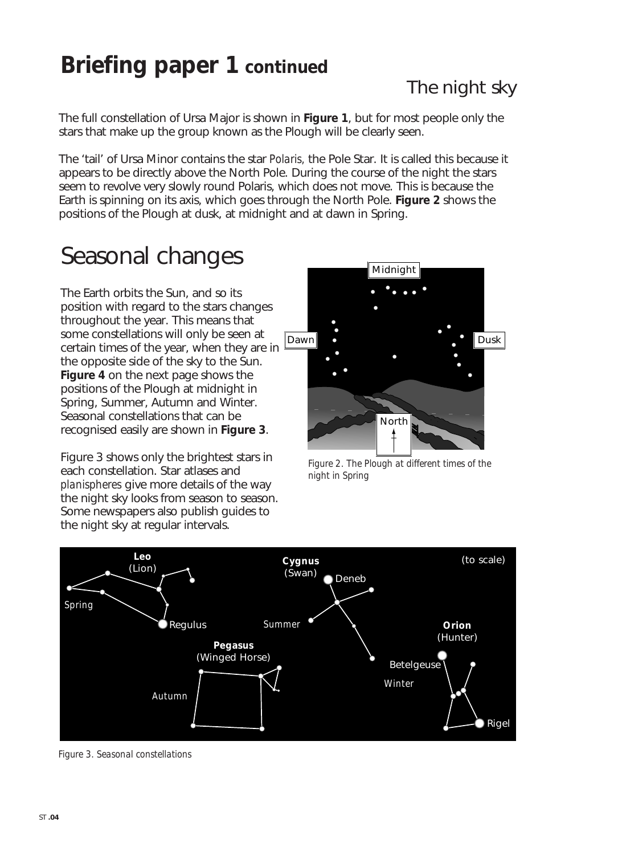## **Briefing paper 1 continued**

The full constellation of Ursa Major is shown in **Figure 1**, but for most people only the stars that make up the group known as the Plough will be clearly seen.

The 'tail' of Ursa Minor contains the star *Polaris,* the Pole Star. It is called this because it appears to be directly above the North Pole. During the course of the night the stars seem to revolve very slowly round Polaris, which does not move. This is because the Earth is spinning on its axis, which goes through the North Pole. **Figure 2** shows the positions of the Plough at dusk, at midnight and at dawn in Spring.

## Seasonal changes

The Earth orbits the Sun, and so its position with regard to the stars changes throughout the year. This means that some constellations will only be seen at certain times of the year, when they are in the opposite side of the sky to the Sun. **Figure 4** on the next page shows the positions of the Plough at midnight in Spring, Summer, Autumn and Winter. Seasonal constellations that can be recognised easily are shown in **Figure 3**.

Figure 3 shows only the brightest stars in each constellation. Star atlases and *planispheres* give more details of the way the night sky looks from season to season. Some newspapers also publish guides to the night sky at regular intervals.



*Figure 2. The Plough at different times of the night in Spring*



*Figure 3. Seasonal constellations*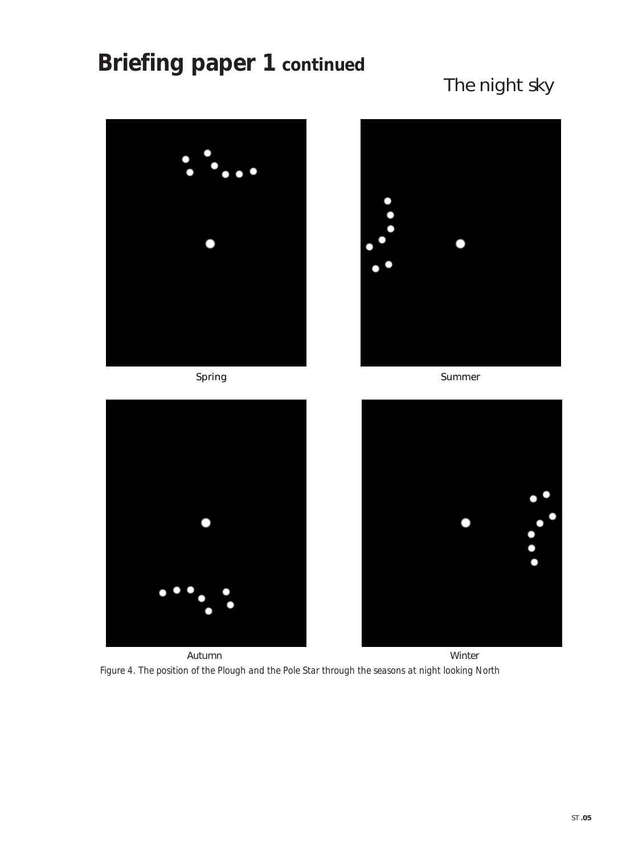## **Briefing paper 1 continued**

## The night sky



Spring Summer





Autumn Winter Autumn Winter Autumn Winter *Figure 4. The position of the Plough and the Pole Star through the seasons at night looking North*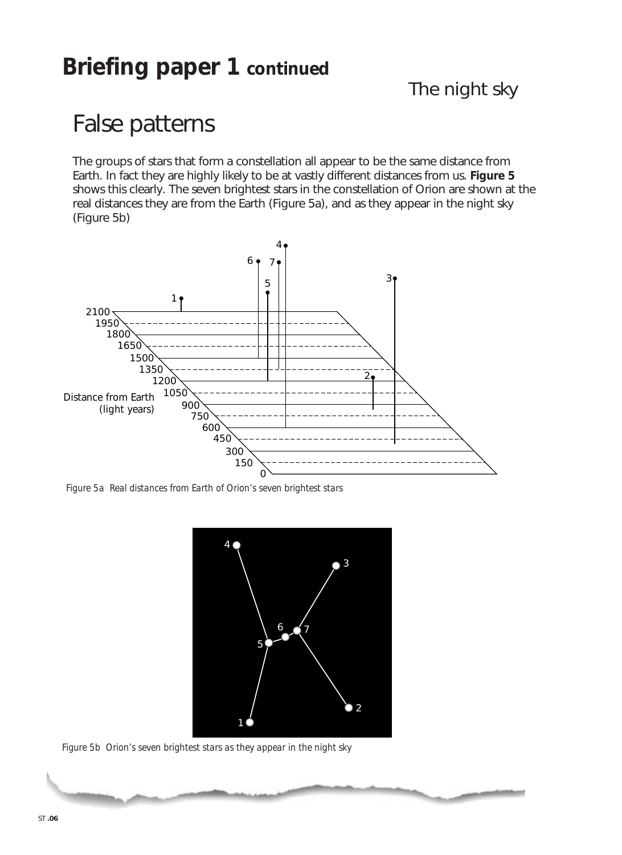## **Briefing paper 1 continued**

The night sky

## False patterns

The groups of stars that form a constellation all appear to be the same distance from Earth. In fact they are highly likely to be at vastly different distances from us. **Figure 5** shows this clearly. The seven brightest stars in the constellation of Orion are shown at the real distances they are from the Earth (Figure 5a), and as they appear in the night sky (Figure 5b)



*Figure 5a Real distances from Earth of Orion's seven brightest stars*



*Figure 5b Orion's seven brightest stars as they appear in the night sky*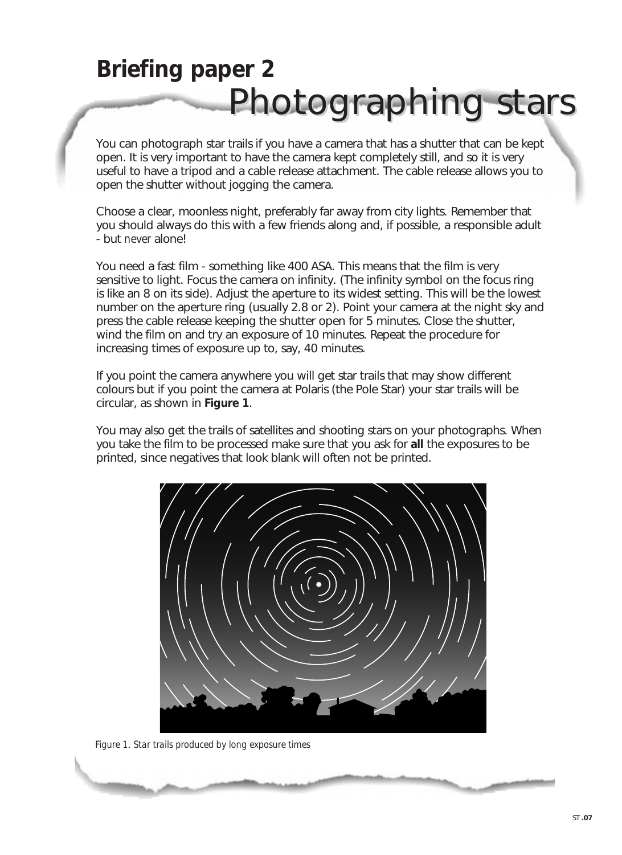# **Briefing paper 2** Photographing stars

You can photograph star trails if you have a camera that has a shutter that can be kept open. It is very important to have the camera kept completely still, and so it is very useful to have a tripod and a cable release attachment. The cable release allows you to open the shutter without jogging the camera.

Choose a clear, moonless night, preferably far away from city lights. Remember that you should always do this with a few friends along and, if possible, a responsible adult - but *never* alone!

You need a fast film - something like 400 ASA. This means that the film is very sensitive to light. Focus the camera on infinity. (The infinity symbol on the focus ring is like an 8 on its side). Adjust the aperture to its widest setting. This will be the lowest number on the aperture ring (usually 2.8 or 2). Point your camera at the night sky and press the cable release keeping the shutter open for 5 minutes. Close the shutter, wind the film on and try an exposure of 10 minutes. Repeat the procedure for increasing times of exposure up to, say, 40 minutes.

If you point the camera anywhere you will get star trails that may show different colours but if you point the camera at Polaris (the Pole Star) your star trails will be circular, as shown in **Figure 1**.

You may also get the trails of satellites and shooting stars on your photographs. When you take the film to be processed make sure that you ask for **all** the exposures to be printed, since negatives that look blank will often not be printed.



*Figure 1. Star trails produced by long exposure times*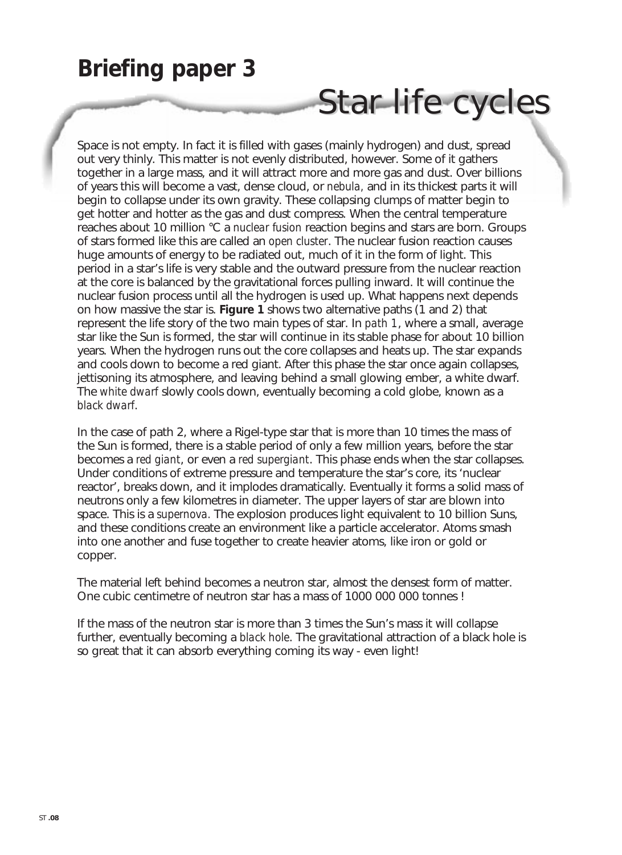## **Briefing paper 3**

# Star-life cycles

Space is not empty. In fact it is filled with gases (mainly hydrogen) and dust, spread out very thinly. This matter is not evenly distributed, however. Some of it gathers together in a large mass, and it will attract more and more gas and dust. Over billions of years this will become a vast, dense cloud, or *nebula,* and in its thickest parts it will begin to collapse under its own gravity. These collapsing clumps of matter begin to get hotter and hotter as the gas and dust compress. When the central temperature reaches about 10 million °C a *nuclear fusion* reaction begins and stars are born. Groups of stars formed like this are called an *open cluster*. The nuclear fusion reaction causes huge amounts of energy to be radiated out, much of it in the form of light. This period in a star's life is very stable and the outward pressure from the nuclear reaction at the core is balanced by the gravitational forces pulling inward. It will continue the nuclear fusion process until all the hydrogen is used up. What happens next depends on how massive the star is. **Figure 1** shows two alternative paths (1 and 2) that represent the life story of the two main types of star. In *path 1*, where a small, average star like the Sun is formed, the star will continue in its stable phase for about 10 billion years. When the hydrogen runs out the core collapses and heats up. The star expands and cools down to become a red giant. After this phase the star once again collapses, jettisoning its atmosphere, and leaving behind a small glowing ember, a white dwarf. The *white dwarf* slowly cools down, eventually becoming a cold globe, known as a *black dwarf*.

In the case of path 2, where a Rigel-type star that is more than 10 times the mass of the Sun is formed, there is a stable period of only a few million years, before the star becomes a *red giant*, or even a *red supergiant*. This phase ends when the star collapses. Under conditions of extreme pressure and temperature the star's core, its 'nuclear reactor', breaks down, and it implodes dramatically. Eventually it forms a solid mass of neutrons only a few kilometres in diameter. The upper layers of star are blown into space. This is a *supernova.* The explosion produces light equivalent to 10 billion Suns, and these conditions create an environment like a particle accelerator. Atoms smash into one another and fuse together to create heavier atoms, like iron or gold or copper.

The material left behind becomes a neutron star, almost the densest form of matter. One cubic centimetre of neutron star has a mass of 1000 000 000 tonnes !

If the mass of the neutron star is more than 3 times the Sun's mass it will collapse further, eventually becoming a *black hole*. The gravitational attraction of a black hole is so great that it can absorb everything coming its way - even light!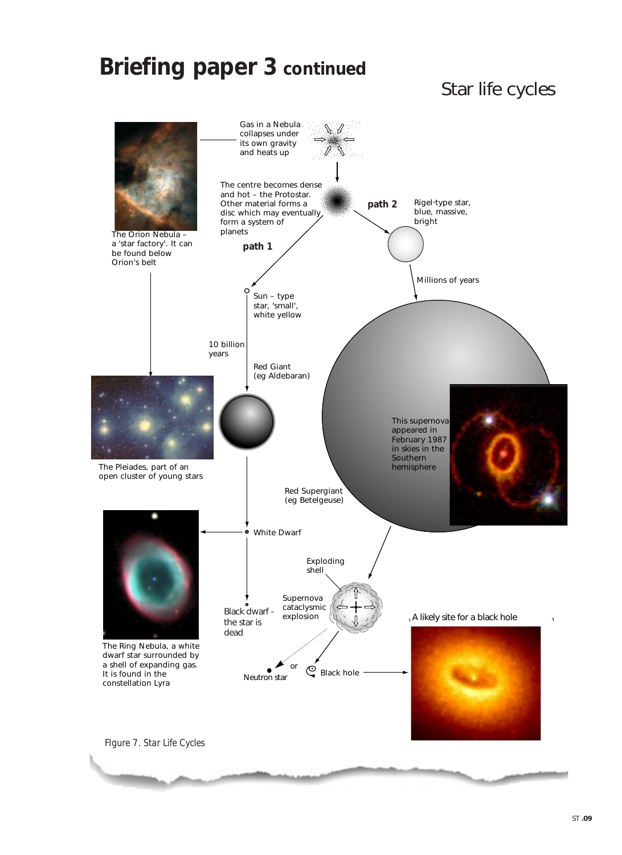## **Briefing paper 3 continued**

### Star life cycles

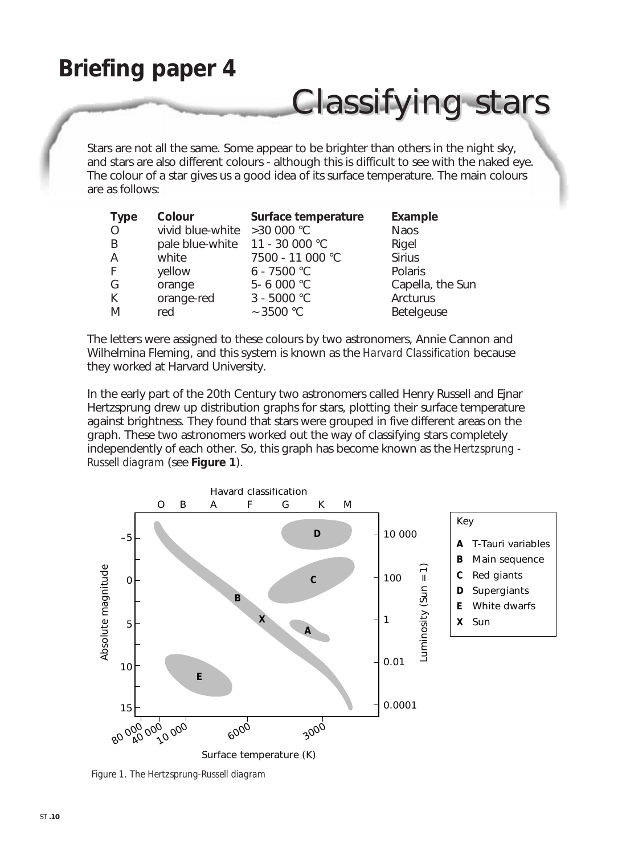## **Briefing paper 4**

# Classifying stars

Stars are not all the same. Some appear to be brighter than others in the night sky, and stars are also different colours - although this is difficult to see with the naked eye. The colour of a star gives us a good idea of its surface temperature. The main colours are as follows:

| <b>Type</b> | Colour                         | Surface temperature | Example          |
|-------------|--------------------------------|---------------------|------------------|
| $\circ$     | vivid blue-white > 30 000 °C   |                     | <b>Naos</b>      |
| B           | pale blue-white 11 - 30 000 °C |                     | Rigel            |
| A           | white                          | 7500 - 11 000 °C    | <b>Sirius</b>    |
| F           | yellow                         | $6 - 7500 °C$       | Polaris          |
| G           | orange                         | 5-6 000 °C          | Capella, the Sun |
| K           | orange-red                     | $3 - 5000 °C$       | Arcturus         |
| M           | red                            | $\sim$ 3500 °C      | Betelgeuse       |

The letters were assigned to these colours by two astronomers, Annie Cannon and Wilhelmina Fleming, and this system is known as the *Harvard Classification* because they worked at Harvard University.

In the early part of the 20th Century two astronomers called Henry Russell and Ejnar Hertzsprung drew up distribution graphs for stars, plotting their surface temperature against brightness. They found that stars were grouped in five different areas on the graph. These two astronomers worked out the way of classifying stars completely independently of each other. So, this graph has become known as the *Hertzsprung - Russell diagram* (see **Figure 1**).



*Figure 1. The Hertzsprung-Russell diagram*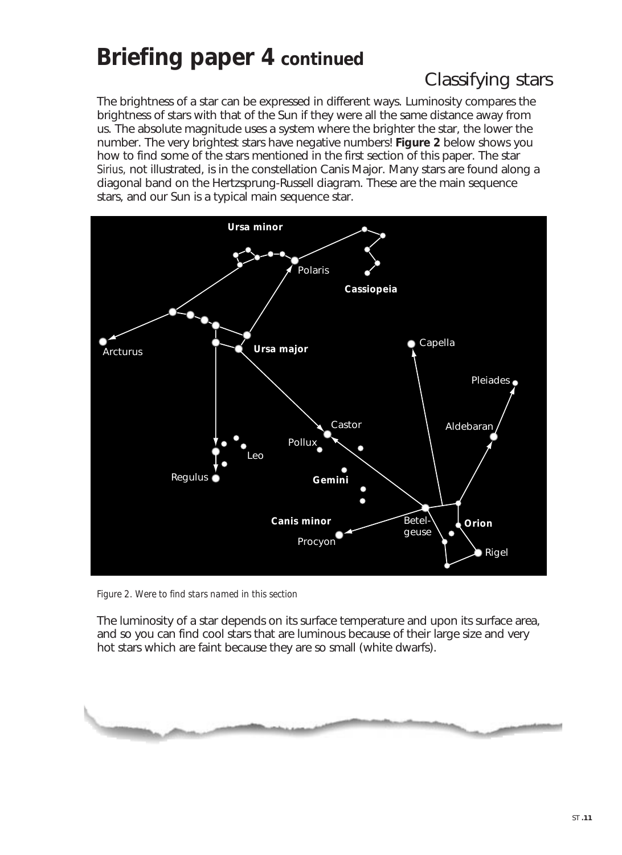## **Briefing paper 4 continued**

## Classifying stars

The brightness of a star can be expressed in different ways. Luminosity compares the brightness of stars with that of the Sun if they were all the same distance away from us. The absolute magnitude uses a system where the brighter the star, the lower the number. The very brightest stars have negative numbers! **Figure 2** below shows you how to find some of the stars mentioned in the first section of this paper. The star *Sirius,* not illustrated, is in the constellation Canis Major. Many stars are found along a diagonal band on the Hertzsprung-Russell diagram. These are the main sequence stars, and our Sun is a typical main sequence star.



*Figure 2. Were to find stars named in this section*

The luminosity of a star depends on its surface temperature and upon its surface area, and so you can find cool stars that are luminous because of their large size and very hot stars which are faint because they are so small (white dwarfs).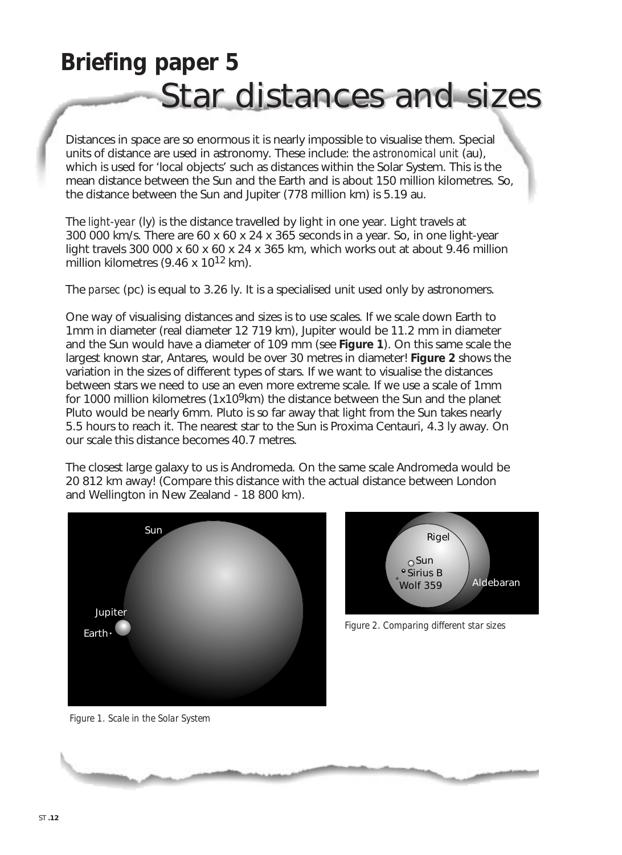# **Briefing paper 5** Star distances and sizes

Distances in space are so enormous it is nearly impossible to visualise them. Special units of distance are used in astronomy. These include: the *astronomical unit* (au), which is used for 'local objects' such as distances within the Solar System. This is the mean distance between the Sun and the Earth and is about 150 million kilometres. So, the distance between the Sun and Jupiter (778 million km) is 5.19 au.

The *light-year* (ly) is the distance travelled by light in one year. Light travels at 300 000 km/s. There are 60 x 60 x 24 x 365 seconds in a year. So, in one light-year light travels 300 000 x 60 x 60 x 24 x 365 km, which works out at about 9.46 million million kilometres (9.46 x  $10^{12}$  km).

The *parsec* (pc) is equal to 3.26 ly. It is a specialised unit used only by astronomers.

One way of visualising distances and sizes is to use scales. If we scale down Earth to 1mm in diameter (real diameter 12 719 km), Jupiter would be 11.2 mm in diameter and the Sun would have a diameter of 109 mm (see **Figure 1**). On this same scale the largest known star, Antares, would be over 30 metres in diameter! **Figure 2** shows the variation in the sizes of different types of stars. If we want to visualise the distances between stars we need to use an even more extreme scale. If we use a scale of 1mm for 1000 million kilometres (1x10<sup>9</sup>km) the distance between the Sun and the planet Pluto would be nearly 6mm. Pluto is so far away that light from the Sun takes nearly 5.5 hours to reach it. The nearest star to the Sun is Proxima Centauri, 4.3 ly away. On our scale this distance becomes 40.7 metres.

The closest large galaxy to us is Andromeda. On the same scale Andromeda would be 20 812 km away! (Compare this distance with the actual distance between London and Wellington in New Zealand - 18 800 km).





*Figure 1. Scale in the Solar System*

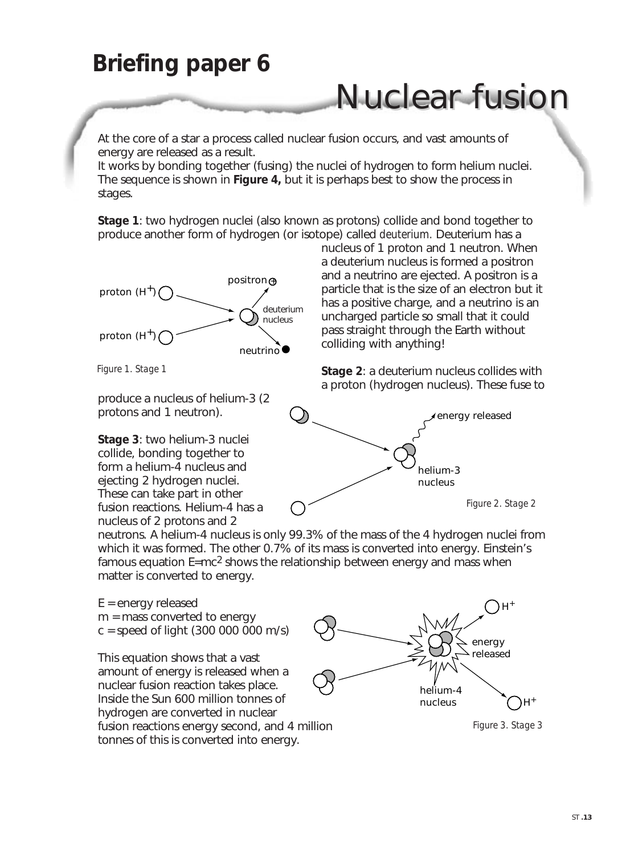## **Briefing paper 6**

# Nuclear fusion

At the core of a star a process called nuclear fusion occurs, and vast amounts of energy are released as a result.

It works by bonding together (fusing) the nuclei of hydrogen to form helium nuclei. The sequence is shown in **Figure 4,** but it is perhaps best to show the process in stages.

**Stage 1**: two hydrogen nuclei (also known as protons) collide and bond together to produce another form of hydrogen (or isotope) called *deuterium.* Deuterium has a



*Figure 1. Stage 1*

produce a nucleus of helium-3 (2 protons and 1 neutron).

**Stage 3**: two helium-3 nuclei collide, bonding together to form a helium-4 nucleus and ejecting 2 hydrogen nuclei. These can take part in other fusion reactions. Helium-4 has a nucleus of 2 protons and 2

nucleus of 1 proton and 1 neutron. When a deuterium nucleus is formed a positron and a neutrino are ejected. A positron is a particle that is the size of an electron but it has a positive charge, and a neutrino is an uncharged particle so small that it could pass straight through the Earth without colliding with anything!

**Stage 2**: a deuterium nucleus collides with a proton (hydrogen nucleus). These fuse to



neutrons. A helium-4 nucleus is only 99.3% of the mass of the 4 hydrogen nuclei from which it was formed. The other 0.7% of its mass is converted into energy. Einstein's famous equation  $E=mc^2$  shows the relationship between energy and mass when matter is converted to energy.

 $E =$  energy released m = mass converted to energy  $c = speed of light (300 000 000 m/s)$ 

This equation shows that a vast amount of energy is released when a nuclear fusion reaction takes place. Inside the Sun 600 million tonnes of hydrogen are converted in nuclear fusion reactions energy second, and 4 million tonnes of this is converted into energy.



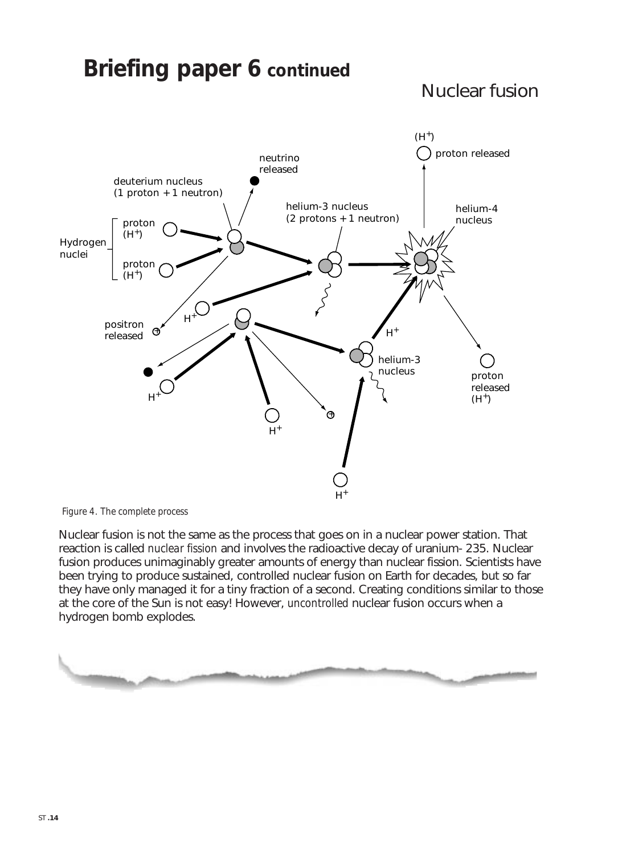### **Briefing paper 6 continued** Nuclear fusion neutrino released  $\bigcap$  proton released proton released  $(H^+)$ proton  $(H^+)$ proton Hydrogen  $(H^+)$ nuclei helium-4 nucleus positron released helium-3 nucleus (2 protons + 1 neutron) deuterium nucleus (1 proton + 1 neutron) helium-3 nucleus  $H^+$  $(H^+)$  $H^+$  $H^+$  $\int_{H^+}$  $H^+$  $\Theta$  $\oplus$



Nuclear fusion is not the same as the process that goes on in a nuclear power station. That reaction is called *nuclear fission* and involves the radioactive decay of uranium- 235. Nuclear fusion produces unimaginably greater amounts of energy than nuclear fission. Scientists have been trying to produce sustained, controlled nuclear fusion on Earth for decades, but so far they have only managed it for a tiny fraction of a second. Creating conditions similar to those at the core of the Sun is not easy! However, *uncontrolled* nuclear fusion occurs when a hydrogen bomb explodes.

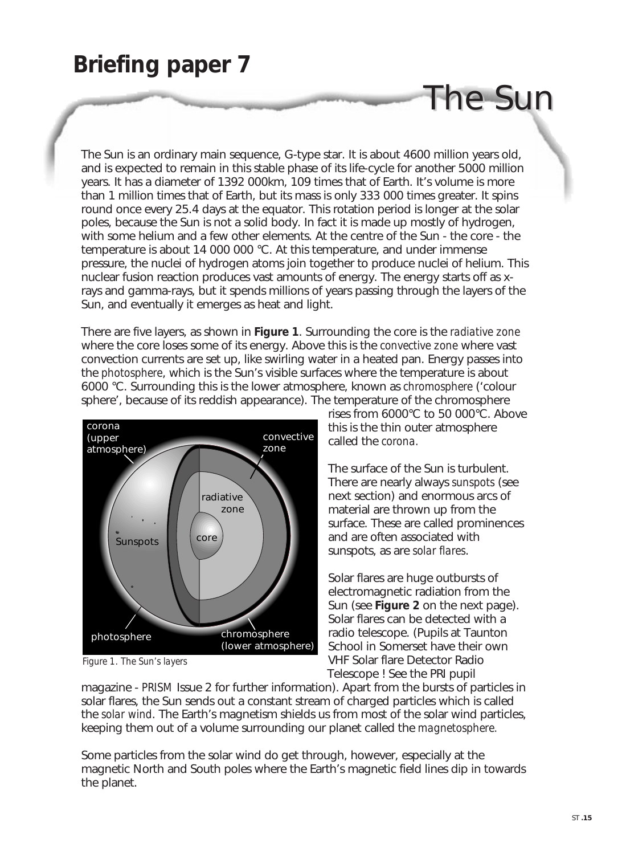## **Briefing paper 7**

The Sun is an ordinary main sequence, G-type star. It is about 4600 million years old, and is expected to remain in this stable phase of its life-cycle for another 5000 million years. It has a diameter of 1392 000km, 109 times that of Earth. It's volume is more than 1 million times that of Earth, but its mass is only 333 000 times greater. It spins round once every 25.4 days at the equator. This rotation period is longer at the solar poles, because the Sun is not a solid body. In fact it is made up mostly of hydrogen, with some helium and a few other elements. At the centre of the Sun - the core - the temperature is about 14 000 000 °C. At this temperature, and under immense pressure, the nuclei of hydrogen atoms join together to produce nuclei of helium. This nuclear fusion reaction produces vast amounts of energy. The energy starts off as xrays and gamma-rays, but it spends millions of years passing through the layers of the Sun, and eventually it emerges as heat and light.

There are five layers, as shown in **Figure 1**. Surrounding the core is the *radiative zone* where the core loses some of its energy. Above this is the *convective zone* where vast convection currents are set up, like swirling water in a heated pan. Energy passes into the *photosphere*, which is the Sun's visible surfaces where the temperature is about 6000 °C. Surrounding this is the lower atmosphere, known as *chromosphere* ('colour sphere', because of its reddish appearance). The temperature of the chromosphere



*Figure 1. The Sun's layers* 

rises from 6000°C to 50 000°C. Above this is the thin outer atmosphere called the *corona.*

The Sun

The surface of the Sun is turbulent. There are nearly always *sunspots* (see next section) and enormous arcs of material are thrown up from the surface. These are called prominences and are often associated with sunspots, as are *solar flares*.

Solar flares are huge outbursts of electromagnetic radiation from the Sun (see **Figure 2** on the next page). Solar flares can be detected with a radio telescope. (Pupils at Taunton School in Somerset have their own VHF Solar flare Detector Radio Telescope ! See the PRI pupil

magazine - *PRISM* Issue 2 for further information). Apart from the bursts of particles in solar flares, the Sun sends out a constant stream of charged particles which is called the *solar wind*. The Earth's magnetism shields us from most of the solar wind particles, keeping them out of a volume surrounding our planet called the *magnetosphere.*

Some particles from the solar wind do get through, however, especially at the magnetic North and South poles where the Earth's magnetic field lines dip in towards the planet.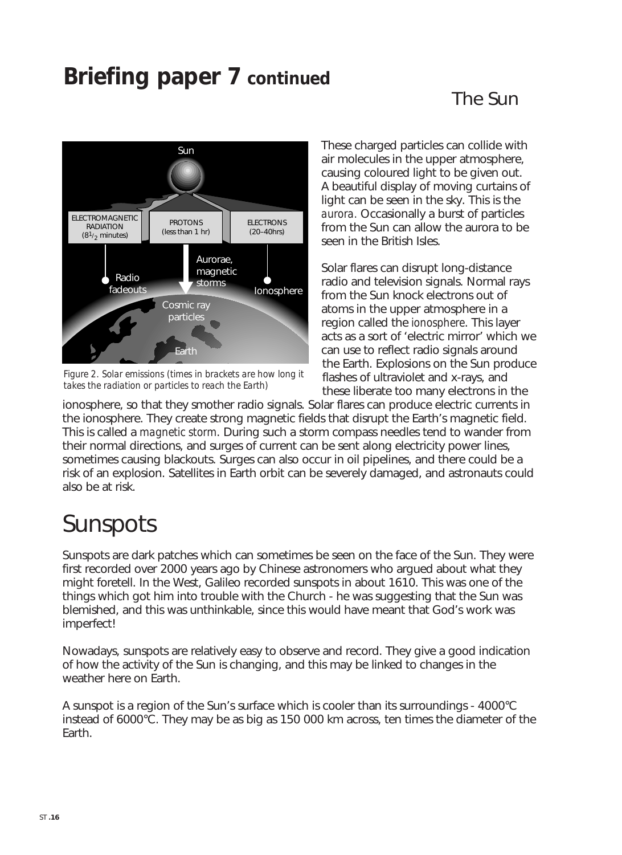## **Briefing paper 7 continued**

### The Sun



Figure 2. Solar emissions (times in brackets are how long it *takes the radiation or particles to reach the Earth)*

These charged particles can collide with air molecules in the upper atmosphere, causing coloured light to be given out. A beautiful display of moving curtains of light can be seen in the sky. This is the *aurora.* Occasionally a burst of particles from the Sun can allow the aurora to be seen in the British Isles.

Solar flares can disrupt long-distance radio and television signals. Normal rays from the Sun knock electrons out of atoms in the upper atmosphere in a region called the *ionosphere*. This layer acts as a sort of 'electric mirror' which we can use to reflect radio signals around the Earth. Explosions on the Sun produce flashes of ultraviolet and x-rays, and these liberate too many electrons in the

ionosphere, so that they smother radio signals. Solar flares can produce electric currents in the ionosphere. They create strong magnetic fields that disrupt the Earth's magnetic field. This is called a *magnetic storm*. During such a storm compass needles tend to wander from their normal directions, and surges of current can be sent along electricity power lines, sometimes causing blackouts. Surges can also occur in oil pipelines, and there could be a risk of an explosion. Satellites in Earth orbit can be severely damaged, and astronauts could also be at risk.

# Sunspots

Sunspots are dark patches which can sometimes be seen on the face of the Sun. They were first recorded over 2000 years ago by Chinese astronomers who argued about what they might foretell. In the West, Galileo recorded sunspots in about 1610. This was one of the things which got him into trouble with the Church - he was suggesting that the Sun was blemished, and this was unthinkable, since this would have meant that God's work was imperfect!

Nowadays, sunspots are relatively easy to observe and record. They give a good indication of how the activity of the Sun is changing, and this may be linked to changes in the weather here on Earth.

A sunspot is a region of the Sun's surface which is cooler than its surroundings - 4000°C instead of 6000°C. They may be as big as 150 000 km across, ten times the diameter of the Earth.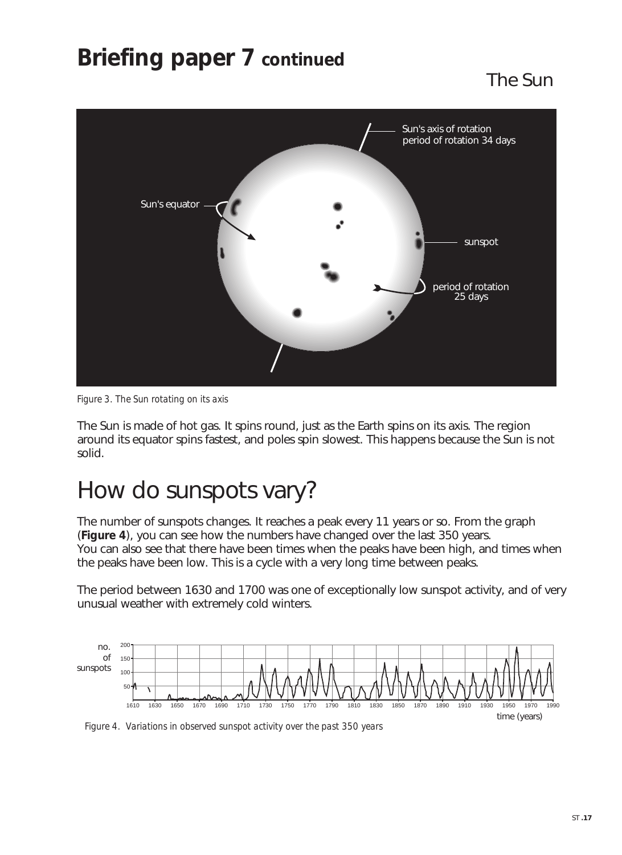## **Briefing paper 7 continued**

The Sun



*Figure 3. The Sun rotating on its axis*

The Sun is made of hot gas. It spins round, just as the Earth spins on its axis. The region around its equator spins fastest, and poles spin slowest. This happens because the Sun is not solid.

## How do sunspots vary?

The number of sunspots changes. It reaches a peak every 11 years or so. From the graph (**Figure 4**), you can see how the numbers have changed over the last 350 years. You can also see that there have been times when the peaks have been high, and times when the peaks have been low. This is a cycle with a very long time between peaks.

The period between 1630 and 1700 was one of exceptionally low sunspot activity, and of very unusual weather with extremely cold winters.



*Figure 4. Variations in observed sunspot activity over the past 350 years*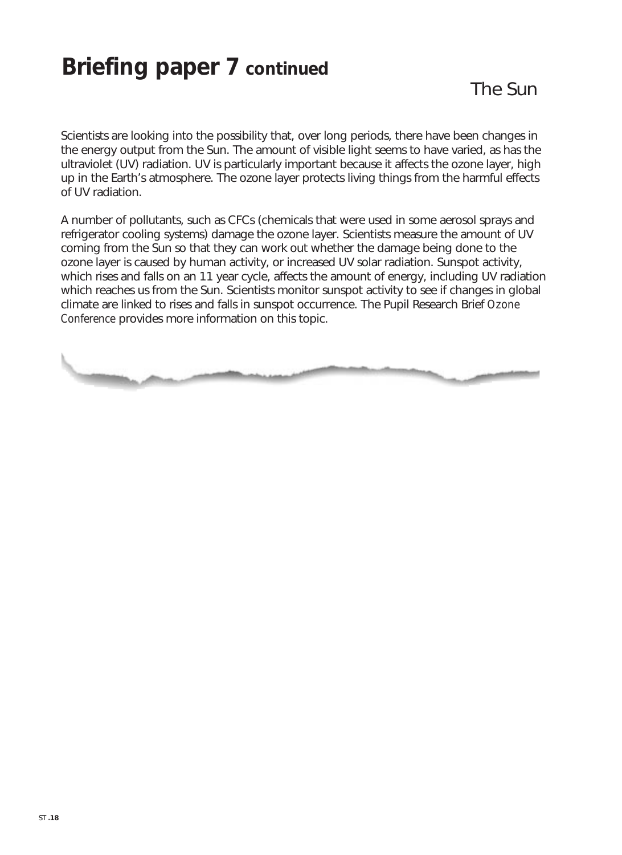## **Briefing paper 7 continued**

Scientists are looking into the possibility that, over long periods, there have been changes in the energy output from the Sun. The amount of visible light seems to have varied, as has the ultraviolet (UV) radiation. UV is particularly important because it affects the ozone layer, high up in the Earth's atmosphere. The ozone layer protects living things from the harmful effects of UV radiation.

A number of pollutants, such as CFCs (chemicals that were used in some aerosol sprays and refrigerator cooling systems) damage the ozone layer. Scientists measure the amount of UV coming from the Sun so that they can work out whether the damage being done to the ozone layer is caused by human activity, or increased UV solar radiation. Sunspot activity, which rises and falls on an 11 year cycle, affects the amount of energy, including UV radiation which reaches us from the Sun. Scientists monitor sunspot activity to see if changes in global climate are linked to rises and falls in sunspot occurrence. The Pupil Research Brief *Ozone Conference* provides more information on this topic.

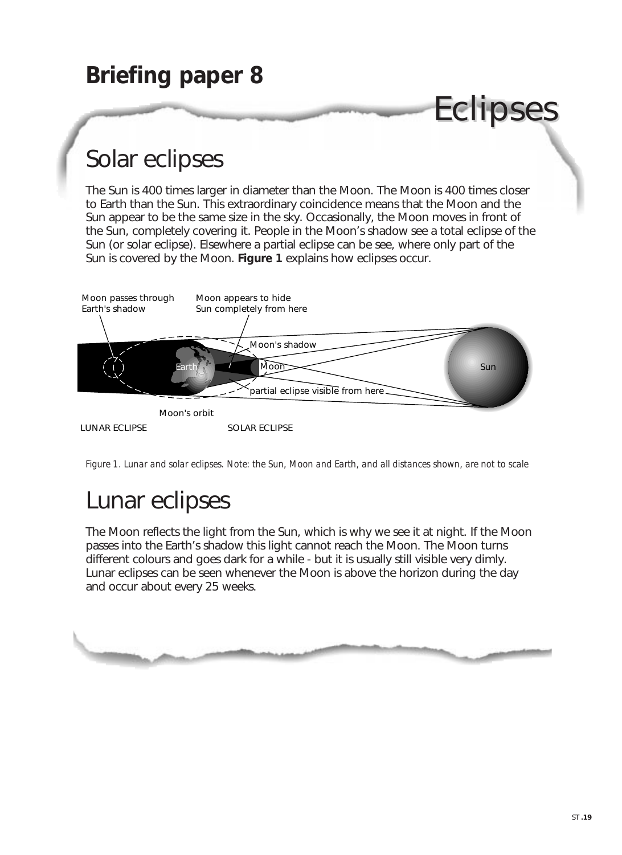



*Figure 1. Lunar and solar eclipses. Note: the Sun, Moon and Earth, and all distances shown, are not to scale*

## Lunar eclipses

The Moon reflects the light from the Sun, which is why we see it at night. If the Moon passes into the Earth's shadow this light cannot reach the Moon. The Moon turns different colours and goes dark for a while - but it is usually still visible very dimly. Lunar eclipses can be seen whenever the Moon is above the horizon during the day and occur about every 25 weeks.

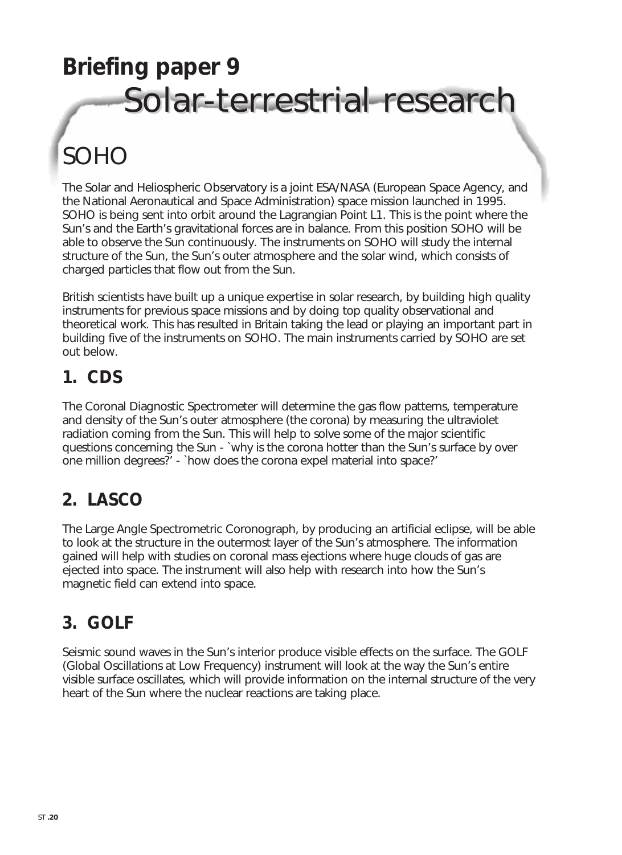# **Briefing paper 9**  Solar-terrestrial research

# SOHO

The Solar and Heliospheric Observatory is a joint ESA/NASA (European Space Agency, and the National Aeronautical and Space Administration) space mission launched in 1995. SOHO is being sent into orbit around the Lagrangian Point L1. This is the point where the Sun's and the Earth's gravitational forces are in balance. From this position SOHO will be able to observe the Sun continuously. The instruments on SOHO will study the internal structure of the Sun, the Sun's outer atmosphere and the solar wind, which consists of charged particles that flow out from the Sun.

British scientists have built up a unique expertise in solar research, by building high quality instruments for previous space missions and by doing top quality observational and theoretical work. This has resulted in Britain taking the lead or playing an important part in building five of the instruments on SOHO. The main instruments carried by SOHO are set out below.

### **1. CDS**

The Coronal Diagnostic Spectrometer will determine the gas flow patterns, temperature and density of the Sun's outer atmosphere (the corona) by measuring the ultraviolet radiation coming from the Sun. This will help to solve some of the major scientific questions concerning the Sun - `why is the corona hotter than the Sun's surface by over one million degrees?' - `how does the corona expel material into space?'

## **2. LASCO**

The Large Angle Spectrometric Coronograph, by producing an artificial eclipse, will be able to look at the structure in the outermost layer of the Sun's atmosphere. The information gained will help with studies on coronal mass ejections where huge clouds of gas are ejected into space. The instrument will also help with research into how the Sun's magnetic field can extend into space.

## **3. GOLF**

Seismic sound waves in the Sun's interior produce visible effects on the surface. The GOLF (Global Oscillations at Low Frequency) instrument will look at the way the Sun's entire visible surface oscillates, which will provide information on the internal structure of the very heart of the Sun where the nuclear reactions are taking place.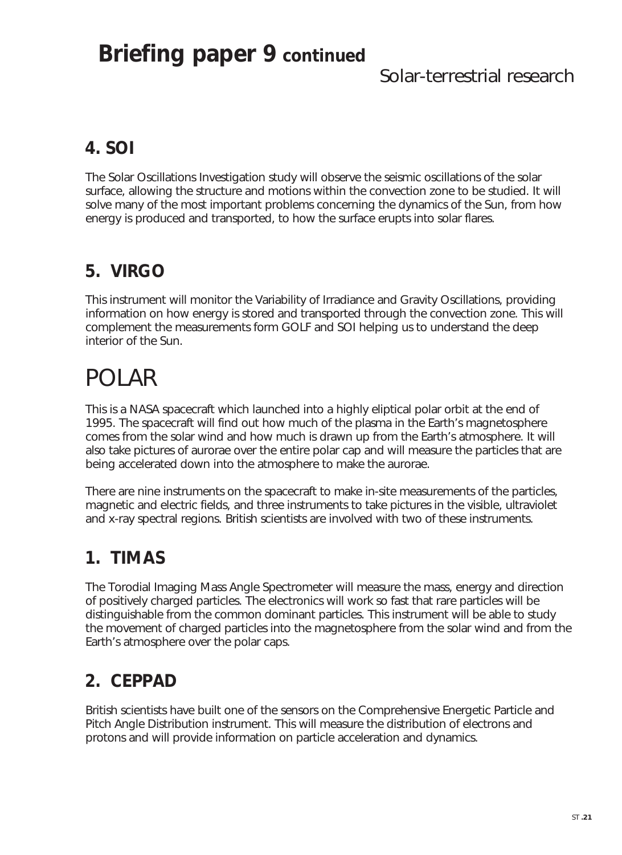## **Briefing paper 9 continued**

### Solar-terrestrial research

## **4. SOI**

The Solar Oscillations Investigation study will observe the seismic oscillations of the solar surface, allowing the structure and motions within the convection zone to be studied. It will solve many of the most important problems concerning the dynamics of the Sun, from how energy is produced and transported, to how the surface erupts into solar flares.

### **5. VIRGO**

This instrument will monitor the Variability of Irradiance and Gravity Oscillations, providing information on how energy is stored and transported through the convection zone. This will complement the measurements form GOLF and SOI helping us to understand the deep interior of the Sun.

# POLAR

This is a NASA spacecraft which launched into a highly eliptical polar orbit at the end of 1995. The spacecraft will find out how much of the plasma in the Earth's magnetosphere comes from the solar wind and how much is drawn up from the Earth's atmosphere. It will also take pictures of aurorae over the entire polar cap and will measure the particles that are being accelerated down into the atmosphere to make the aurorae.

There are nine instruments on the spacecraft to make in-site measurements of the particles, magnetic and electric fields, and three instruments to take pictures in the visible, ultraviolet and x-ray spectral regions. British scientists are involved with two of these instruments.

### **1. TIMAS**

The Torodial Imaging Mass Angle Spectrometer will measure the mass, energy and direction of positively charged particles. The electronics will work so fast that rare particles will be distinguishable from the common dominant particles. This instrument will be able to study the movement of charged particles into the magnetosphere from the solar wind and from the Earth's atmosphere over the polar caps.

## **2. CEPPAD**

British scientists have built one of the sensors on the Comprehensive Energetic Particle and Pitch Angle Distribution instrument. This will measure the distribution of electrons and protons and will provide information on particle acceleration and dynamics.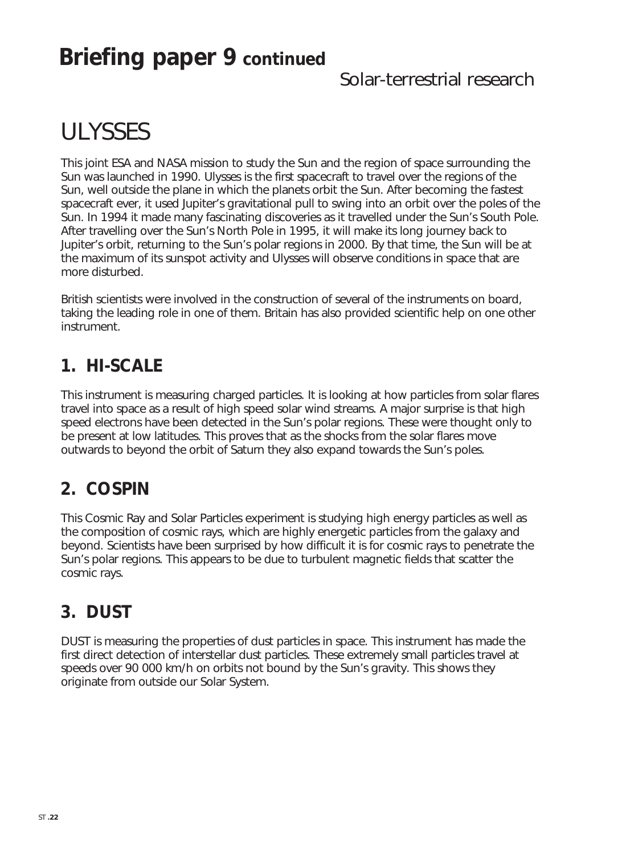## **Briefing paper 9 continued**

### Solar-terrestrial research

# ULYSSES

This joint ESA and NASA mission to study the Sun and the region of space surrounding the Sun was launched in 1990. Ulysses is the first spacecraft to travel over the regions of the Sun, well outside the plane in which the planets orbit the Sun. After becoming the fastest spacecraft ever, it used Jupiter's gravitational pull to swing into an orbit over the poles of the Sun. In 1994 it made many fascinating discoveries as it travelled under the Sun's South Pole. After travelling over the Sun's North Pole in 1995, it will make its long journey back to Jupiter's orbit, returning to the Sun's polar regions in 2000. By that time, the Sun will be at the maximum of its sunspot activity and Ulysses will observe conditions in space that are more disturbed.

British scientists were involved in the construction of several of the instruments on board, taking the leading role in one of them. Britain has also provided scientific help on one other instrument.

### **1. HI-SCALE**

This instrument is measuring charged particles. It is looking at how particles from solar flares travel into space as a result of high speed solar wind streams. A major surprise is that high speed electrons have been detected in the Sun's polar regions. These were thought only to be present at low latitudes. This proves that as the shocks from the solar flares move outwards to beyond the orbit of Saturn they also expand towards the Sun's poles.

### **2. COSPIN**

This Cosmic Ray and Solar Particles experiment is studying high energy particles as well as the composition of cosmic rays, which are highly energetic particles from the galaxy and beyond. Scientists have been surprised by how difficult it is for cosmic rays to penetrate the Sun's polar regions. This appears to be due to turbulent magnetic fields that scatter the cosmic rays.

### **3. DUST**

DUST is measuring the properties of dust particles in space. This instrument has made the first direct detection of interstellar dust particles. These extremely small particles travel at speeds over 90 000 km/h on orbits not bound by the Sun's gravity. This shows they originate from outside our Solar System.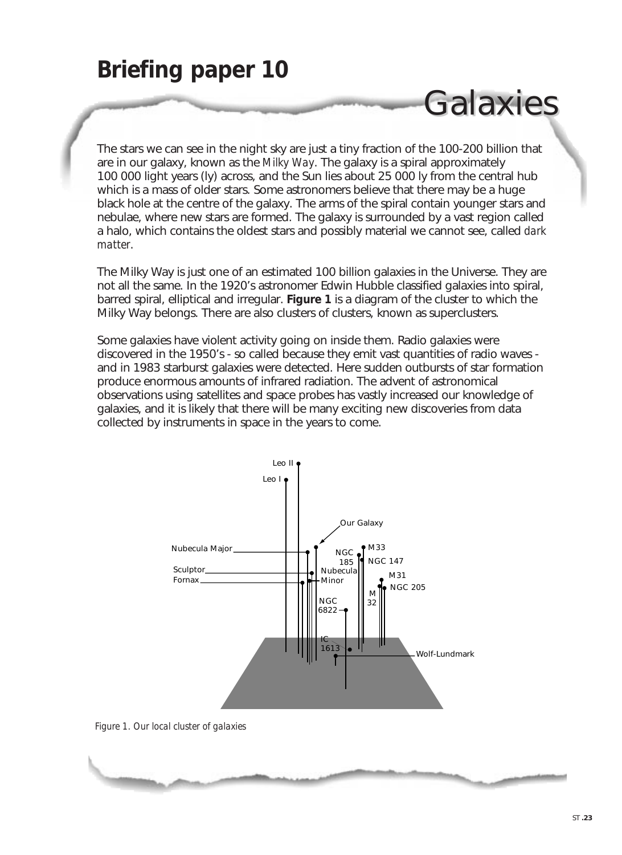## **Briefing paper 10**

The stars we can see in the night sky are just a tiny fraction of the 100-200 billion that are in our galaxy, known as the *Milky Way*. The galaxy is a spiral approximately 100 000 light years (ly) across, and the Sun lies about 25 000 ly from the central hub which is a mass of older stars. Some astronomers believe that there may be a huge black hole at the centre of the galaxy. The arms of the spiral contain younger stars and nebulae, where new stars are formed. The galaxy is surrounded by a vast region called a halo, which contains the oldest stars and possibly material we cannot see, called *dark matter*.

Galaxies

The Milky Way is just one of an estimated 100 billion galaxies in the Universe. They are not all the same. In the 1920's astronomer Edwin Hubble classified galaxies into spiral, barred spiral, elliptical and irregular. **Figure 1** is a diagram of the cluster to which the Milky Way belongs. There are also clusters of clusters, known as superclusters.

Some galaxies have violent activity going on inside them. Radio galaxies were discovered in the 1950's - so called because they emit vast quantities of radio waves and in 1983 starburst galaxies were detected. Here sudden outbursts of star formation produce enormous amounts of infrared radiation. The advent of astronomical observations using satellites and space probes has vastly increased our knowledge of galaxies, and it is likely that there will be many exciting new discoveries from data collected by instruments in space in the years to come.



*Figure 1. Our local cluster of galaxies*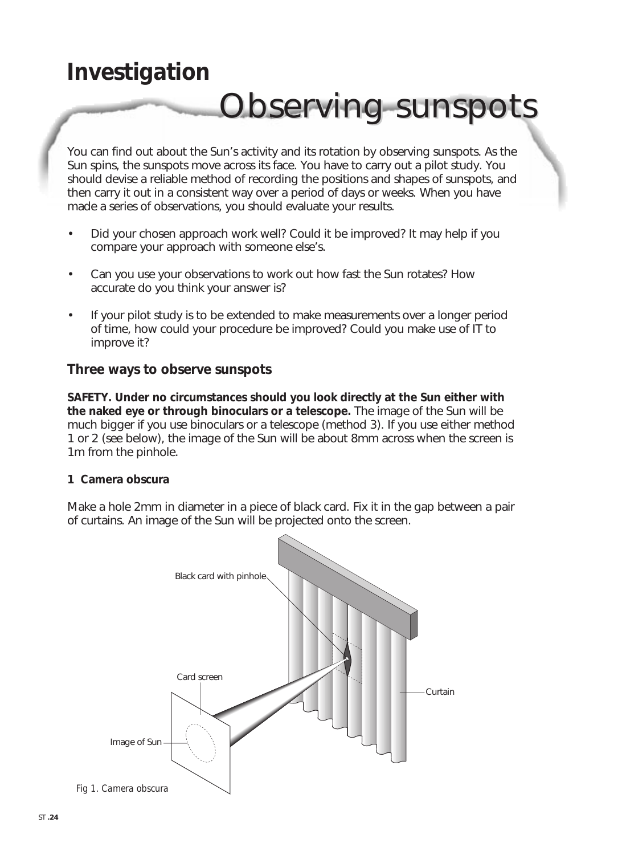# **Investigation**

# Observing sunspots

You can find out about the Sun's activity and its rotation by observing sunspots. As the Sun spins, the sunspots move across its face. You have to carry out a pilot study. You should devise a reliable method of recording the positions and shapes of sunspots, and then carry it out in a consistent way over a period of days or weeks. When you have made a series of observations, you should evaluate your results.

- Did your chosen approach work well? Could it be improved? It may help if you compare your approach with someone else's.
- Can you use your observations to work out how fast the Sun rotates? How accurate do you think your answer is?
- If your pilot study is to be extended to make measurements over a longer period of time, how could your procedure be improved? Could you make use of IT to improve it?

### **Three ways to observe sunspots**

**SAFETY. Under no circumstances should you look directly at the Sun either with the naked eye or through binoculars or a telescope.** The image of the Sun will be much bigger if you use binoculars or a telescope (method 3). If you use either method 1 or 2 (see below), the image of the Sun will be about 8mm across when the screen is 1m from the pinhole.

#### **1 Camera obscura**

Make a hole 2mm in diameter in a piece of black card. Fix it in the gap between a pair of curtains. An image of the Sun will be projected onto the screen.

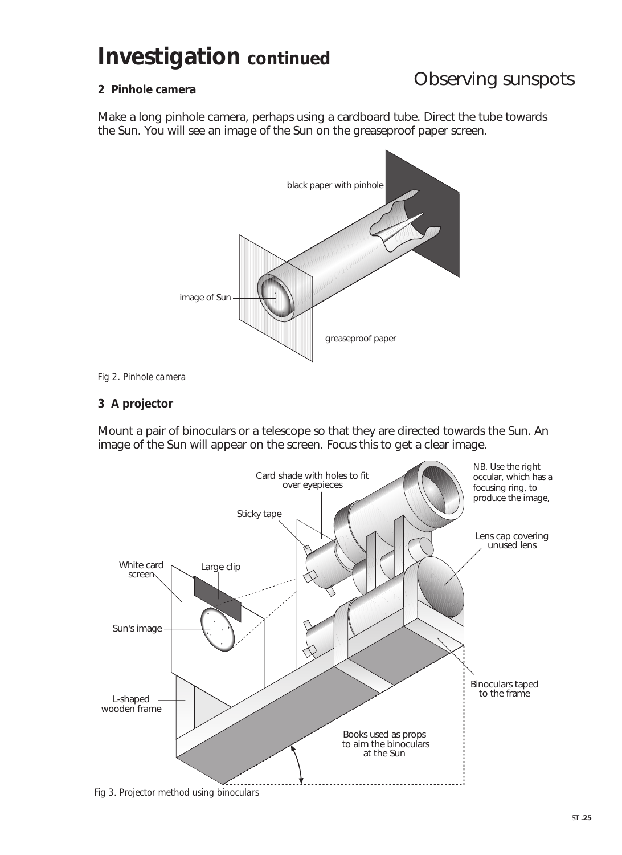## **Investigation continued**

### Observing sunspots

#### **2 Pinhole camera**

Make a long pinhole camera, perhaps using a cardboard tube. Direct the tube towards the Sun. You will see an image of the Sun on the greaseproof paper screen.





#### **3 A projector**

Mount a pair of binoculars or a telescope so that they are directed towards the Sun. An image of the Sun will appear on the screen. Focus this to get a clear image.



*Fig 3. Projector method using binoculars*